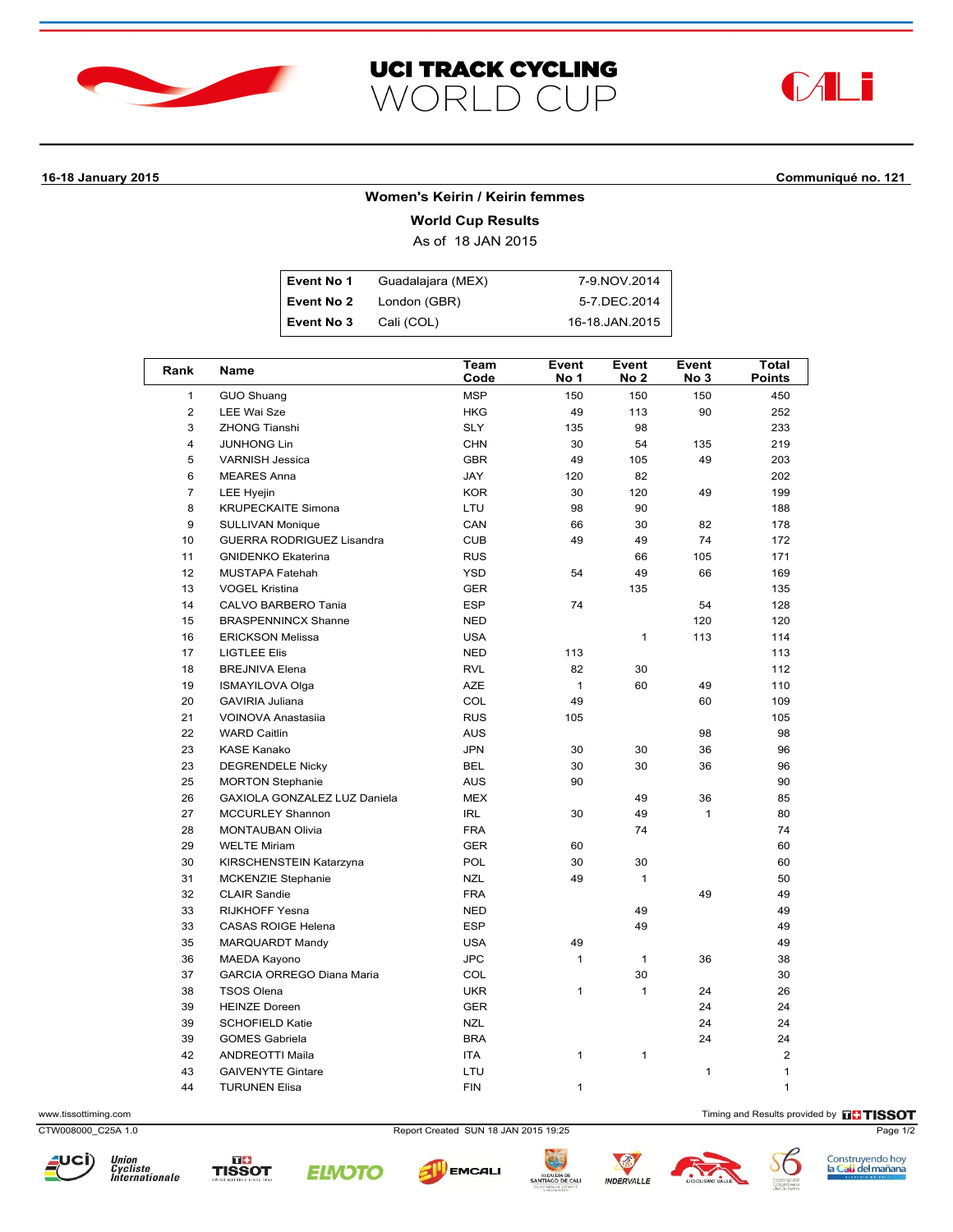





# **16-18 January 2015 Communiqué no. 121**

#### **Women's Keirin / Keirin femmes**

**World Cup Results**

As of 18 JAN 2015

| Event No 1 | Guadalajara (MEX) | 7-9 NOV 2014   |
|------------|-------------------|----------------|
| Event No 2 | London (GBR)      | 5-7.DEC.2014   |
| Event No 3 | Cali (COL)        | 16-18.JAN.2015 |

| Rank            | Name                             | Team<br>Code | Event<br>No 1 | Event<br>No 2 | Event<br>No 3 | <b>Total</b><br><b>Points</b> |
|-----------------|----------------------------------|--------------|---------------|---------------|---------------|-------------------------------|
| $\mathbf{1}$    | GUO Shuang                       | <b>MSP</b>   | 150           | 150           | 150           | 450                           |
| $\overline{2}$  | <b>LEE Wai Sze</b>               | <b>HKG</b>   | 49            | 113           | 90            | 252                           |
| 3               | <b>ZHONG Tianshi</b>             | <b>SLY</b>   | 135           | 98            |               | 233                           |
| $\overline{4}$  | <b>JUNHONG Lin</b>               | CHN          | 30            | 54            | 135           | 219                           |
| 5               | <b>VARNISH Jessica</b>           | <b>GBR</b>   | 49            | 105           | 49            | 203                           |
| 6               | <b>MEARES Anna</b>               | JAY          | 120           | 82            |               | 202                           |
| $\overline{7}$  | <b>LEE Hyejin</b>                | <b>KOR</b>   | 30            | 120           | 49            | 199                           |
| 8               | <b>KRUPECKAITE Simona</b>        | LTU          | 98            | 90            |               | 188                           |
| 9               | <b>SULLIVAN Monique</b>          | CAN          | 66            | 30            | 82            | 178                           |
| 10              | GUERRA RODRIGUEZ Lisandra        | <b>CUB</b>   | 49            | 49            | 74            | 172                           |
| 11              | <b>GNIDENKO Ekaterina</b>        | <b>RUS</b>   |               | 66            | 105           | 171                           |
| 12 <sup>2</sup> | <b>MUSTAPA Fatehah</b>           | <b>YSD</b>   | 54            | 49            | 66            | 169                           |
| 13              | <b>VOGEL Kristina</b>            | <b>GER</b>   |               | 135           |               | 135                           |
| 14              | CALVO BARBERO Tania              | <b>ESP</b>   | 74            |               | 54            | 128                           |
| 15              | <b>BRASPENNINCX Shanne</b>       | <b>NED</b>   |               |               | 120           | 120                           |
| 16              | <b>ERICKSON Melissa</b>          | <b>USA</b>   |               | 1             | 113           | 114                           |
| 17              | <b>LIGTLEE Elis</b>              | <b>NED</b>   | 113           |               |               | 113                           |
| 18              | <b>BREJNIVA Elena</b>            | <b>RVL</b>   | 82            | 30            |               | 112                           |
| 19              | <b>ISMAYILOVA Olga</b>           | <b>AZE</b>   | $\mathbf{1}$  | 60            | 49            | 110                           |
| 20              | <b>GAVIRIA Juliana</b>           | COL          | 49            |               | 60            | 109                           |
| 21              | VOINOVA Anastasija               | <b>RUS</b>   | 105           |               |               | 105                           |
| 22              | <b>WARD Caitlin</b>              | <b>AUS</b>   |               |               | 98            | 98                            |
| 23              | <b>KASE Kanako</b>               | <b>JPN</b>   | 30            | 30            | 36            | 96                            |
| 23              | <b>DEGRENDELE Nicky</b>          | <b>BEL</b>   | 30            | 30            | 36            | 96                            |
| 25              | <b>MORTON Stephanie</b>          | <b>AUS</b>   | 90            |               |               | 90                            |
| 26              | GAXIOLA GONZALEZ LUZ Daniela     | <b>MEX</b>   |               | 49            | 36            | 85                            |
| 27              | <b>MCCURLEY Shannon</b>          | <b>IRL</b>   | 30            | 49            | $\mathbf{1}$  | 80                            |
| 28              | <b>MONTAUBAN Olivia</b>          | <b>FRA</b>   |               | 74            |               | 74                            |
| 29              | <b>WELTE Miriam</b>              | <b>GER</b>   | 60            |               |               | 60                            |
| 30              | KIRSCHENSTEIN Katarzyna          | <b>POL</b>   | 30            | 30            |               | 60                            |
| 31              | <b>MCKENZIE Stephanie</b>        | <b>NZL</b>   | 49            | $\mathbf{1}$  |               | 50                            |
| 32              | <b>CLAIR Sandie</b>              | <b>FRA</b>   |               |               | 49            | 49                            |
| 33              | <b>RIJKHOFF Yesna</b>            | <b>NED</b>   |               | 49            |               | 49                            |
| 33              | <b>CASAS ROIGE Helena</b>        | <b>ESP</b>   |               | 49            |               | 49                            |
| 35              | MARQUARDT Mandy                  | <b>USA</b>   | 49            |               |               | 49                            |
| 36              | <b>MAEDA Kayono</b>              | <b>JPC</b>   | $\mathbf{1}$  | $\mathbf 1$   | 36            | 38                            |
| 37              | <b>GARCIA ORREGO Diana Maria</b> | COL          |               | 30            |               | 30                            |
| 38              | <b>TSOS Olena</b>                | <b>UKR</b>   | 1             | $\mathbf{1}$  | 24            | 26                            |
| 39              | <b>HEINZE Doreen</b>             | <b>GER</b>   |               |               | 24            | 24                            |
| 39              | <b>SCHOFIELD Katie</b>           | <b>NZL</b>   |               |               | 24            | 24                            |
| 39              | <b>GOMES Gabriela</b>            | <b>BRA</b>   |               |               | 24            | 24                            |
| 42              | <b>ANDREOTTI Maila</b>           | <b>ITA</b>   | 1             | 1             |               | $\overline{2}$                |
| 43              | <b>GAIVENYTE Gintare</b>         | LTU          |               |               | $\mathbf{1}$  | $\mathbf{1}$                  |
| 44              | <b>TURUNEN Elisa</b>             | <b>FIN</b>   | $\mathbf{1}$  |               |               | $\mathbf{1}$                  |

www.tissottiming.com **Timing and Results provided by THSSOT** 

CTW008000\_C25A 1.0 Report Created SUN 18 JAN 2015 19:25 Page 1/2







中心